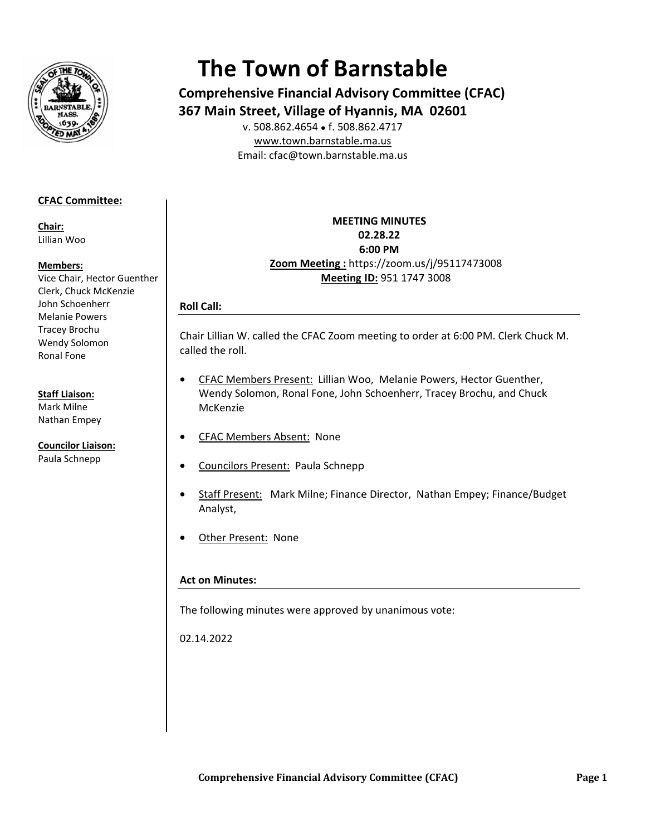

# **The Town of Barnstable**

**Comprehensive Financial Advisory Committee (CFAC)** 367 Main Street, Village of Hyannis, MA 02601

v. 508.862.4654 • f. 508.862.4717 www.town.barnstable.ma.us Email: cfac@town.barnstable.ma.us

# **CFAC Committee:**

Chair: Lillian Woo

## Members:

Vice Chair, Hector Guenther Clerk, Chuck McKenzie John Schoenherr **Melanie Powers Tracey Brochu** Wendy Solomon Ronal Fone

## **Staff Liaison:**

Mark Milne Nathan Empey

**Councilor Liaison:** Paula Schnepp

# **MEETING MINUTES** 02.28.22 6:00 PM Zoom Meeting: https://zoom.us/j/95117473008 Meeting ID: 951 1747 3008

# **Roll Call:**

Chair Lillian W. called the CFAC Zoom meeting to order at 6:00 PM. Clerk Chuck M. called the roll.

- CFAC Members Present: Lillian Woo, Melanie Powers, Hector Guenther, Wendy Solomon, Ronal Fone, John Schoenherr, Tracey Brochu, and Chuck McKenzie
- **CFAC Members Absent: None**
- Councilors Present: Paula Schnepp
- Staff Present: Mark Milne; Finance Director, Nathan Empey; Finance/Budget Analyst,
- Other Present: None

# **Act on Minutes:**

The following minutes were approved by unanimous vote:

02.14.2022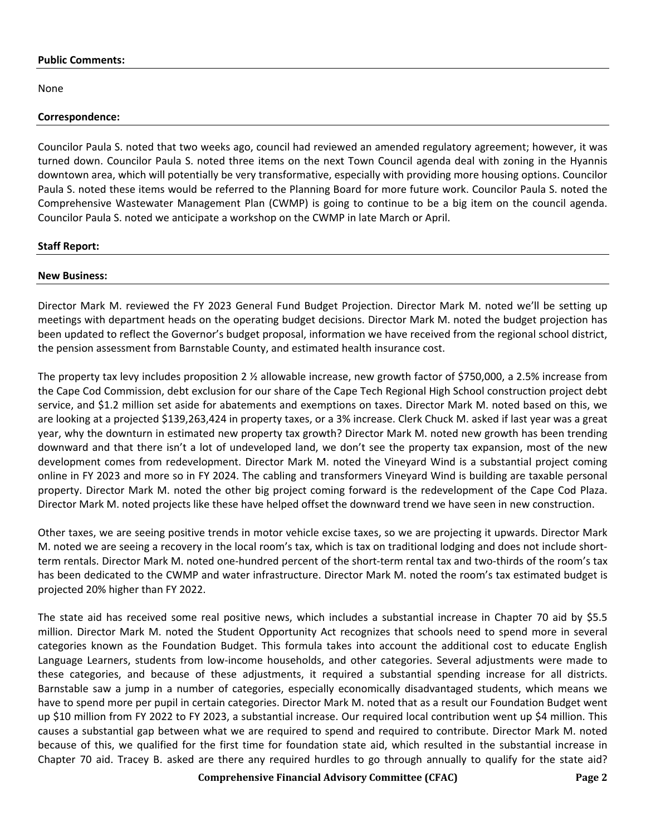#### **Public Comments:**

None

#### **Correspondence:**

Councilor Paula S. noted that two weeks ago, council had reviewed an amended regulatory agreement; however, it was turned down. Councilor Paula S. noted three items on the next Town Council agenda deal with zoning in the Hyannis downtown area, which will potentially be very transformative, especially with providing more housing options. Councilor Paula S. noted these items would be referred to the Planning Board for more future work. Councilor Paula S. noted the Comprehensive Wastewater Management Plan (CWMP) is going to continue to be a big item on the council agenda. Councilor Paula S. noted we anticipate a workshop on the CWMP in late March or April.

#### **Staff Report:**

#### **New Business:**

Director Mark M. reviewed the FY 2023 General Fund Budget Projection. Director Mark M. noted we'll be setting up meetings with department heads on the operating budget decisions. Director Mark M. noted the budget projection has been updated to reflect the Governor's budget proposal, information we have received from the regional school district, the pension assessment from Barnstable County, and estimated health insurance cost.

The property tax levy includes proposition 2 ½ allowable increase, new growth factor of \$750,000, a 2.5% increase from the Cape Cod Commission, debt exclusion for our share of the Cape Tech Regional High School construction project debt service, and \$1.2 million set aside for abatements and exemptions on taxes. Director Mark M. noted based on this, we are looking at a projected \$139,263,424 in property taxes, or a 3% increase. Clerk Chuck M. asked if last year was a great year, why the downturn in estimated new property tax growth? Director Mark M. noted new growth has been trending downward and that there isn't a lot of undeveloped land, we don't see the property tax expansion, most of the new development comes from redevelopment. Director Mark M. noted the Vineyard Wind is a substantial project coming online in FY 2023 and more so in FY 2024. The cabling and transformers Vineyard Wind is building are taxable personal property. Director Mark M. noted the other big project coming forward is the redevelopment of the Cape Cod Plaza. Director Mark M. noted projects like these have helped offset the downward trend we have seen in new construction.

Other taxes, we are seeing positive trends in motor vehicle excise taxes, so we are projecting it upwards. Director Mark M. noted we are seeing a recovery in the local room's tax, which is tax on traditional lodging and does not include shortterm rentals. Director Mark M. noted one-hundred percent of the short-term rental tax and two-thirds of the room's tax has been dedicated to the CWMP and water infrastructure. Director Mark M. noted the room's tax estimated budget is projected 20% higher than FY 2022.

The state aid has received some real positive news, which includes a substantial increase in Chapter 70 aid by \$5.5 million. Director Mark M. noted the Student Opportunity Act recognizes that schools need to spend more in several categories known as the Foundation Budget. This formula takes into account the additional cost to educate English Language Learners, students from low-income households, and other categories. Several adjustments were made to these categories, and because of these adjustments, it required a substantial spending increase for all districts. Barnstable saw a jump in a number of categories, especially economically disadvantaged students, which means we have to spend more per pupil in certain categories. Director Mark M. noted that as a result our Foundation Budget went up \$10 million from FY 2022 to FY 2023, a substantial increase. Our required local contribution went up \$4 million. This causes a substantial gap between what we are required to spend and required to contribute. Director Mark M. noted because of this, we qualified for the first time for foundation state aid, which resulted in the substantial increase in Chapter 70 aid. Tracey B. asked are there any required hurdles to go through annually to qualify for the state aid?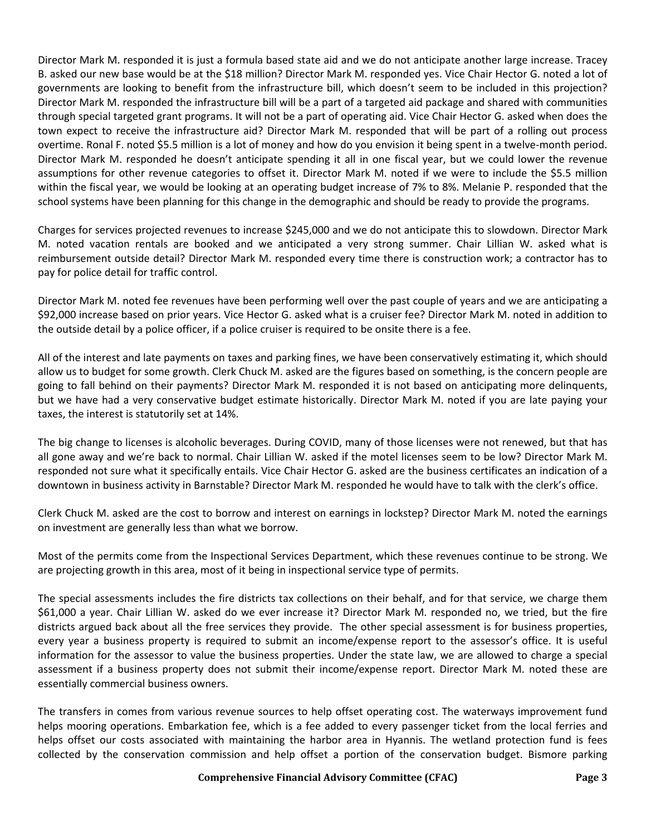Director Mark M. responded it is just a formula based state aid and we do not anticipate another large increase. Tracey B. asked our new base would be at the \$18 million? Director Mark M. responded yes. Vice Chair Hector G. noted a lot of governments are looking to benefit from the infrastructure bill, which doesn't seem to be included in this projection? Director Mark M. responded the infrastructure bill will be a part of a targeted aid package and shared with communities through special targeted grant programs. It will not be a part of operating aid. Vice Chair Hector G. asked when does the town expect to receive the infrastructure aid? Director Mark M. responded that will be part of a rolling out process overtime. Ronal F. noted \$5.5 million is a lot of money and how do you envision it being spent in a twelve-month period. Director Mark M. responded he doesn't anticipate spending it all in one fiscal year, but we could lower the revenue assumptions for other revenue categories to offset it. Director Mark M. noted if we were to include the \$5.5 million within the fiscal year, we would be looking at an operating budget increase of 7% to 8%. Melanie P. responded that the school systems have been planning for this change in the demographic and should be ready to provide the programs.

Charges for services projected revenues to increase \$245,000 and we do not anticipate this to slowdown. Director Mark M. noted vacation rentals are booked and we anticipated a very strong summer. Chair Lillian W. asked what is reimbursement outside detail? Director Mark M. responded every time there is construction work; a contractor has to pay for police detail for traffic control.

Director Mark M. noted fee revenues have been performing well over the past couple of years and we are anticipating a \$92,000 increase based on prior years. Vice Hector G. asked what is a cruiser fee? Director Mark M. noted in addition to the outside detail by a police officer, if a police cruiser is required to be onsite there is a fee.

All of the interest and late payments on taxes and parking fines, we have been conservatively estimating it, which should allow us to budget for some growth. Clerk Chuck M. asked are the figures based on something, is the concern people are going to fall behind on their payments? Director Mark M. responded it is not based on anticipating more delinquents, but we have had a very conservative budget estimate historically. Director Mark M. noted if you are late paying your taxes, the interest is statutorily set at 14%.

The big change to licenses is alcoholic beverages. During COVID, many of those licenses were not renewed, but that has all gone away and we're back to normal. Chair Lillian W. asked if the motel licenses seem to be low? Director Mark M. responded not sure what it specifically entails. Vice Chair Hector G. asked are the business certificates an indication of a downtown in business activity in Barnstable? Director Mark M. responded he would have to talk with the clerk's office.

Clerk Chuck M. asked are the cost to borrow and interest on earnings in lockstep? Director Mark M. noted the earnings on investment are generally less than what we borrow.

Most of the permits come from the Inspectional Services Department, which these revenues continue to be strong. We are projecting growth in this area, most of it being in inspectional service type of permits.

The special assessments includes the fire districts tax collections on their behalf, and for that service, we charge them \$61,000 a year. Chair Lillian W. asked do we ever increase it? Director Mark M. responded no, we tried, but the fire districts argued back about all the free services they provide. The other special assessment is for business properties, every year a business property is required to submit an income/expense report to the assessor's office. It is useful information for the assessor to value the business properties. Under the state law, we are allowed to charge a special assessment if a business property does not submit their income/expense report. Director Mark M. noted these are essentially commercial business owners.

The transfers in comes from various revenue sources to help offset operating cost. The waterways improvement fund helps mooring operations. Embarkation fee, which is a fee added to every passenger ticket from the local ferries and helps offset our costs associated with maintaining the harbor area in Hyannis. The wetland protection fund is fees collected by the conservation commission and help offset a portion of the conservation budget. Bismore parking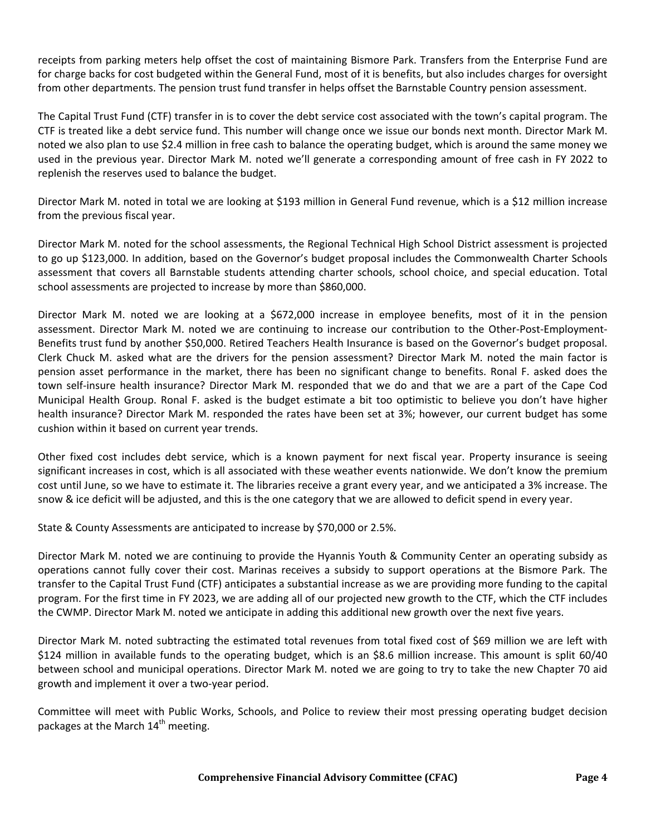receipts from parking meters help offset the cost of maintaining Bismore Park. Transfers from the Enterprise Fund are for charge backs for cost budgeted within the General Fund, most of it is benefits, but also includes charges for oversight from other departments. The pension trust fund transfer in helps offset the Barnstable Country pension assessment.

The Capital Trust Fund (CTF) transfer in is to cover the debt service cost associated with the town's capital program. The CTF is treated like a debt service fund. This number will change once we issue our bonds next month. Director Mark M. noted we also plan to use \$2.4 million in free cash to balance the operating budget, which is around the same money we used in the previous year. Director Mark M. noted we'll generate a corresponding amount of free cash in FY 2022 to replenish the reserves used to balance the budget.

Director Mark M. noted in total we are looking at \$193 million in General Fund revenue, which is a \$12 million increase from the previous fiscal year.

Director Mark M. noted for the school assessments, the Regional Technical High School District assessment is projected to go up \$123,000. In addition, based on the Governor's budget proposal includes the Commonwealth Charter Schools assessment that covers all Barnstable students attending charter schools, school choice, and special education. Total school assessments are projected to increase by more than \$860,000.

Director Mark M. noted we are looking at a \$672,000 increase in employee benefits, most of it in the pension assessment. Director Mark M. noted we are continuing to increase our contribution to the Other-Post-Employment-Benefits trust fund by another \$50,000. Retired Teachers Health Insurance is based on the Governor's budget proposal. Clerk Chuck M. asked what are the drivers for the pension assessment? Director Mark M. noted the main factor is pension asset performance in the market, there has been no significant change to benefits. Ronal F. asked does the town self-insure health insurance? Director Mark M. responded that we do and that we are a part of the Cape Cod Municipal Health Group. Ronal F. asked is the budget estimate a bit too optimistic to believe you don't have higher health insurance? Director Mark M. responded the rates have been set at 3%; however, our current budget has some cushion within it based on current year trends.

Other fixed cost includes debt service, which is a known payment for next fiscal year. Property insurance is seeing significant increases in cost, which is all associated with these weather events nationwide. We don't know the premium cost until June, so we have to estimate it. The libraries receive a grant every year, and we anticipated a 3% increase. The snow & ice deficit will be adjusted, and this is the one category that we are allowed to deficit spend in every year.

State & County Assessments are anticipated to increase by \$70,000 or 2.5%.

Director Mark M. noted we are continuing to provide the Hyannis Youth & Community Center an operating subsidy as operations cannot fully cover their cost. Marinas receives a subsidy to support operations at the Bismore Park. The transfer to the Capital Trust Fund (CTF) anticipates a substantial increase as we are providing more funding to the capital program. For the first time in FY 2023, we are adding all of our projected new growth to the CTF, which the CTF includes the CWMP. Director Mark M. noted we anticipate in adding this additional new growth over the next five years.

Director Mark M. noted subtracting the estimated total revenues from total fixed cost of \$69 million we are left with \$124 million in available funds to the operating budget, which is an \$8.6 million increase. This amount is split 60/40 between school and municipal operations. Director Mark M. noted we are going to try to take the new Chapter 70 aid growth and implement it over a two-year period.

Committee will meet with Public Works, Schools, and Police to review their most pressing operating budget decision packages at the March 14<sup>th</sup> meeting.